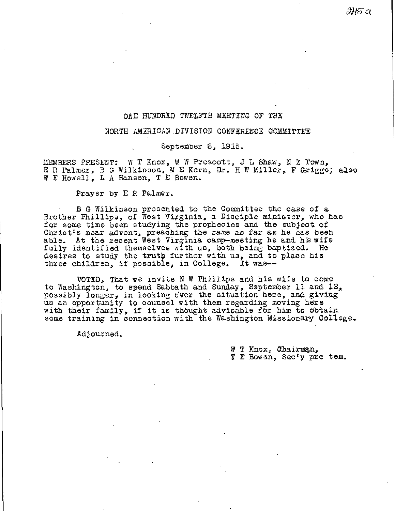## ORE HUNDRED TWELFTH MEETING OF THE

#### NORTH AMERICAN DIVISION CONFERENCE COMMITTEE

September 6, 1915.

MEMBERS PRESENT: W T Knox, W W Prescott, J L Shaw, N Z. Town, E R Palmer, B G Wilkinson, M E Kern, Dr. H W Miller, F Griggs; also W E Howell, L A Hansen, T E Bowen.

Prayer by E R Palmer.

B G Wilkinson presented to the Committee the case of a Brother Phillips, of West Virginia, a Disciple minister, who has for some time been studying the prophecies and the subject of Christ's near advent, preaching the same as far as he has been able. At the recent West Virginia camp-meeting he and his wife fully identified themselves with us, both being baptized. He desires to study the truth further with us, and to place his three children, if possible, in College. It was--

VOTED, That we invite N W Phillips and his wife to come to Washington, to spend Sabbath and Sunday, September 11 and 12, possibly longer, in looking over the situation here, and giving us an opportunity to counsel with them regarding moving here with their family, if it is thought advisable for him to obtain some training in connection with the Washington Missionary College.

Adjourned.

W T Knox, Chairman, 1' E Ewen, Sec'y pro tem.

IHG U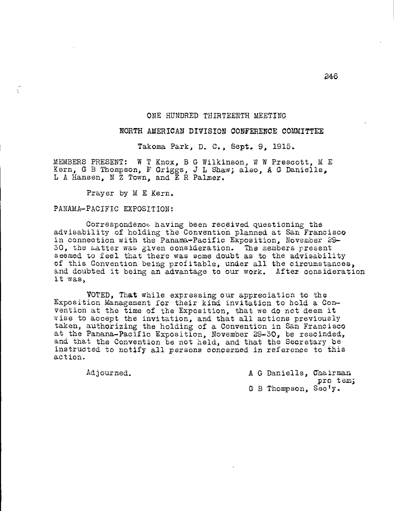### ONE HUNDRED THIRTEENTH MEETING

# NORTH AMERICAN DIVISION CONFERENCE COMMITTEE

Takoma Park, D. C., Sept. 9, 1915.

MEMBERS PRESENT: W T Knox, 5 G Wilkinson, W W Prescott, M E Kern, G B Thompson, F Griggs, J L Shaw; also, A G Daniells, L A Hansen, N Z Town, and E R Palmer.

Prayer by M E Kern.

# PANAMA-PACIFIC EXPOSITION:

Č

Correspondence having been received questioning the advisability of holding the Convention planned at San Francisco in connection with the Panama-Pacific Exposition, November 29-30, the natter was given consideration. The members present seemed to feel that there was some doubt as to the advisability of this Convention being profitable, under all the circumstances, and doubted it being an advantage to our work. After consideration it was,

VOTED, That while expressing our appreciation to the Exposition Management for their kind invitation to hold a Convention at the time of the Exposition, that we do not deem it wise to accept the invitation, and that all actions previously taken, authorizing the holding of a Convention in San Francisco at the Panana-Pacific Exposition, November 29-30, be rescinded, and that the Convention be not held, and that the Secretary be instructed to notify all persons concerned in reference to this action.

Adjourned. A G Daniells, Chairman pro tem; G B Thompson, Sec/y.

46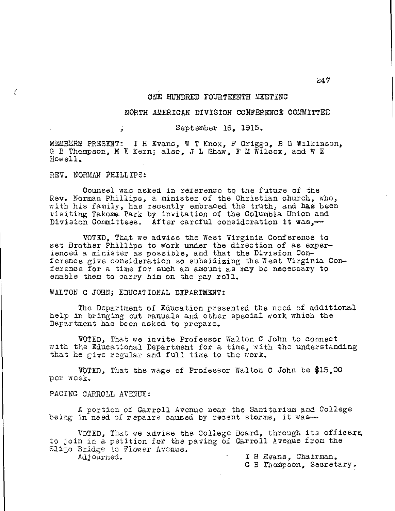#### ONE HUNDRED FOURTEENTH MEETING

### NORTH AMERICAN DIVISION CONFERENCE COMMITTEE

## September 16, 1915.

MEMBERS PRESENT: I H Evans, W T Knox, F Griggs, B G Wilkinson, G B Thompson, M E Kern; also, J L Shaw, F M Wilcox, and W E Howell,

REV. NORMAN PHILLIPS:

ý.

 $\epsilon$ 

Counsel was asked in reference to the future of the Rev. Norman Phillips, a minister of the Christian church, who, with his family, has recently embraced the truth, and has been visiting Takoma Park by invitation of the Columbia Union and Division Committees. After careful consideration it was,—

VOTED, That we advise the West Virginia Conference to set Brother Phillips to work under the direction of as experienced a minister as possible, and that the Division Conference give consideration so subsidizing the West Virginia Conference for a time for such an amount as may be necessary to enable them to carry him on the pay roll.

WALTON C JOHN; EDUCATIONAL DEPARTMENT:

The Department of Education presented the need of additional help in bringing out manuals and other special work which the Department has been asked to prepare.

VOTED, That we invite Professor Walton C John to connect with the Educational Department for a time, with the understanding that he give regular and full time to the work.

VOTED, That the wage of Professor Walton C John, be \$15,00 per week,

PACING CARROLL AVENUE:

A portion of Carroll Avenue near the Sanitarium and College being in need of repairs caused by recent storms, it was--

VOTED, That we advise the College Board, through its officers, to join in a petition for the paving of Carroll Avenue from the Sligo Bridge to Flower Avenue. Adjourned.

I H Evans, Chairman,

G B Thompson, Secretary.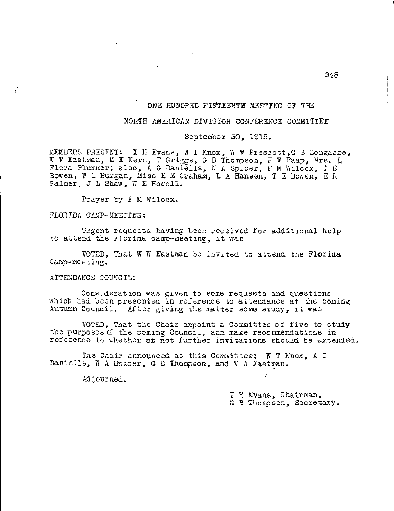# ONE HUNDRED FIFTEENTH MEETING OF THE

# NORTH AMERICAN DIVISION CONFERENCE COMMITTEE

September 20, 1915.

MEMBERS PRESENT: I H Evans, W T Knox, W W Prescott,C S Longacre, W W Eastman, M E Kern, F Griggs, G B Thompson, F W Paap, Mrs. L Flora Plummer; also, A G Daniells, W A Spicer, F M Wilcox, T E Bowen, W L Burgan, Miss E M Graham, L A Hansen, T E Bowen, E R Palmer, J L Shaw, W E Howell.

Prayer by F M Wilcox.

#### FLORIDA CAMP-MEETING:

Č.

Urgent requests having been received for additional help to attend the Florida camp-meeting, it was

VOTED, That W W Eastman be invited to attend the Florida Camp-meeting.

#### ATTENDANCE COUNCIL:

Consideration was given to some requests and questions which had been presented in reference to attendance at the coming Autumn Council. After giving the matter some study, it was

VOTED, That the Chair appoint a Committee of five to study the purposes of the coming Council, and make recommendations in reference to whether or not further invitations should be extended.

The Chair announced as this Committee: W T Knox, A G Danielle, W A Spicer, G B Thompson, and W W Eastman.

Adjourned.

I H Evans, Chairman, G B Thompson, Secretary.

248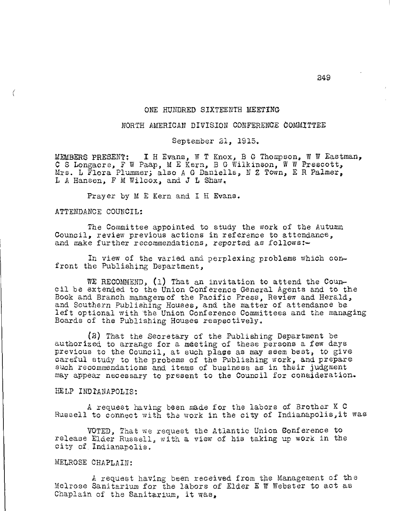### ONE HUNDRED SIXTEENTH MEETING

#### NORTH AMERICAN DIVISION CONFERENCE COMMITTEE

September 21, 1915.

MEMBERS PRESENT: I H Evans, W T Knox, B G Thompson, W W Eastman, 0 S Longacre, F W Paap, M E Kern, B G Wilkinson, W W Prescott, Mrs. L Flora Plummer; also A G Daniells, N Z Town, E R Palmer, L A Hansen, F M Wilcox, and J L Shaw.

Prayer by M E Kern and I H Evans.

### ATTENDANCE COUNCIL:

The Committee appointed to study the work of the Autumn Council, review previous actions in reference to attendance, and make further recommendations, reported as follows:-

In view of the varied and perplexing problems which confront the Publishing Department,

WE RECOMMEND, (1) That an invitation to attend the Council be extended to the Union Conference General Agents and to the Book and Branch managers of the Pacific Press, Review and Herald, and Southern Publishing Houses, and the matter of attendance be left optional with the Union Conference Committees and the managing Boards of the Publishing Houses respectively.

(2) That the Secretary of the Publishing Department be authorized to arrange for a meeting of these persons a few days previous to the Council, at such place as may seem best, to give careful study to the probems of the Publishing work, and prepare such recommendations and items of business as in their judgment may appear necessary to present to the Council for consideration.

# HELP INDIANAPOLIS:

A request having been made for the labors of Brother K C Russell to connect with the work in the city of Indianapolis,it was

VOTED, That we request the Atlantic Union Conference to release Elder Russell, with a view of his taking up work in the city of. Indianapolis.

# MELROSE CHAPLAIN:

A request having been received from the Management of the Melrose Sanitarium for the labors of Elder E W Webster to act as Chaplain of the Sanitarium, it was,

249